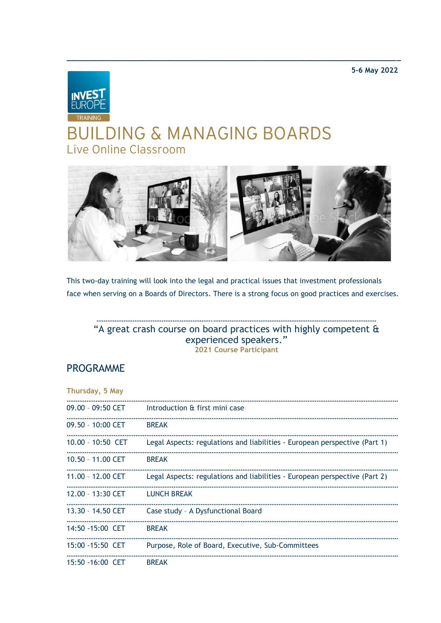**5-6 May 2022**



# **BUILDING & MANAGING BOARDS** Live Online Classroom



**\_\_\_\_\_\_\_\_\_\_\_\_\_\_\_\_\_\_\_\_\_\_\_\_\_\_\_\_\_\_\_\_\_\_\_\_\_\_\_\_\_\_\_\_\_\_\_\_\_\_\_\_\_\_\_\_\_\_\_\_\_\_\_\_\_\_\_\_\_\_\_\_\_\_\_\_\_**

This two-day training will look into the legal and practical issues that investment professionals face when serving on a Boards of Directors. There is a strong focus on good practices and exercises.

#### ……………………………………………………….……………………………………………………………………………… "A great crash course on board practices with highly competent & experienced speakers." **2021 Course Participant**

# PROGRAMME

| Thursday, 5 May     |                                                                            |
|---------------------|----------------------------------------------------------------------------|
| $09.00 - 09:50$ CET | Introduction & first mini case                                             |
| 09.50 - 10:00 CET   | <b>BREAK</b>                                                               |
| $10.00 - 10:50$ CET | Legal Aspects: regulations and liabilities - European perspective (Part 1) |
| 10.50 - 11.00 CET   | <b>BREAK</b>                                                               |
| 11.00 - 12.00 CET   | Legal Aspects: regulations and liabilities - European perspective (Part 2) |
| 12.00 - 13:30 CET   | <b>LUNCH BREAK</b>                                                         |
| 13.30 - 14.50 CET   | Case study - A Dysfunctional Board                                         |
| 14:50 - 15:00 CET   | <b>BREAK</b>                                                               |
| 15:00 - 15:50 CET   | Purpose, Role of Board, Executive, Sub-Committees                          |
| 15:50 -16:00 CET    | <b>BREAK</b>                                                               |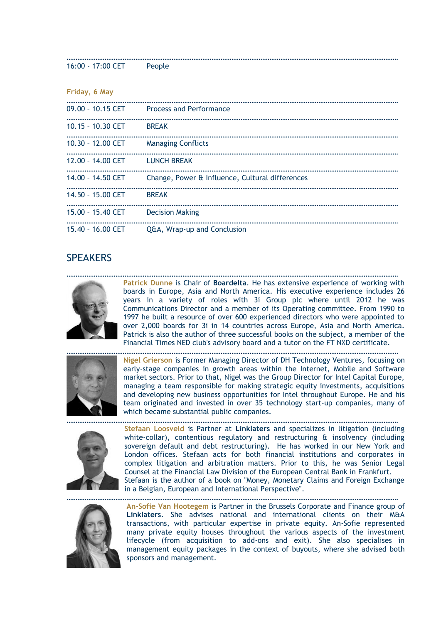16:00 - 17:00 CET People

| Friday, 6 May       |                                                 |
|---------------------|-------------------------------------------------|
| $09.00 - 10.15$ CET | <b>Process and Performance</b>                  |
| 10.15 - 10.30 CET   | <b>BREAK</b>                                    |
| 10.30 - 12.00 CET   | <b>Managing Conflicts</b>                       |
| $12.00 - 14.00$ CET | <b>LUNCH BREAK</b>                              |
| 14.00 - 14.50 CET   | Change, Power & Influence, Cultural differences |
| $14.50 - 15.00$ CET | <b>BREAK</b>                                    |
| 15.00 - 15.40 CET   | <b>Decision Making</b>                          |
| 15.40 - 16.00 CET   | <b>Q&amp;A, Wrap-up and Conclusion</b>          |

### **SPFAKERS**



**Patrick Dunne** is Chair of **Boardelta**. He has extensive experience of working with boards in Europe, Asia and North America. His executive experience includes 26 years in a variety of roles with 3i Group plc where until 2012 he was Communications Director and a member of its Operating committee. From 1990 to 1997 he built a resource of over 600 experienced directors who were appointed to over 2,000 boards for 3i in 14 countries across Europe, Asia and North America. Patrick is also the author of three successful books on the subject, a member of the Financial Times NED club's advisory board and a tutor on the FT NXD certificate.

…………………………………………………………………………………………………………………………………………………………………

…………………………………………………………………………………………………………………………………………………………………



………………………………………………………………………………………………………………………………………………………………… **Nigel Grierson** is Former Managing Director of DH Technology Ventures, focusing on early-stage companies in growth areas within the Internet, Mobile and Software market sectors. Prior to that, Nigel was the Group Director for Intel Capital Europe, managing a team responsible for making strategic equity investments, acquisitions and developing new business opportunities for Intel throughout Europe. He and his team originated and invested in over 35 technology start-up companies, many of which became substantial public companies.



………………………………………………………………………………………………………………………………………………………………… **Stefaan Loosveld** is Partner at **Linklaters** and specializes in litigation (including white-collar), contentious regulatory and restructuring & insolvency (including sovereign default and debt restructuring). He has worked in our New York and London offices. Stefaan acts for both financial institutions and corporates in complex litigation and arbitration matters. Prior to this, he was Senior Legal Counsel at the Financial Law Division of the European Central Bank in Frankfurt. Stefaan is the author of a book on "Money, Monetary Claims and Foreign Exchange in a Belgian, European and International Perspective".



………………………………………………………………………………………………………………………………………………………………… **An-Sofie Van Hootegem** is Partner in the Brussels Corporate and Finance group of **Linklaters**. She advises national and international clients on their M&A transactions, with particular expertise in private equity. An-Sofie represented many private equity houses throughout the various aspects of the investment lifecycle (from acquisition to add-ons and exit). She also specialises in management equity packages in the context of buyouts, where she advised both sponsors and management.